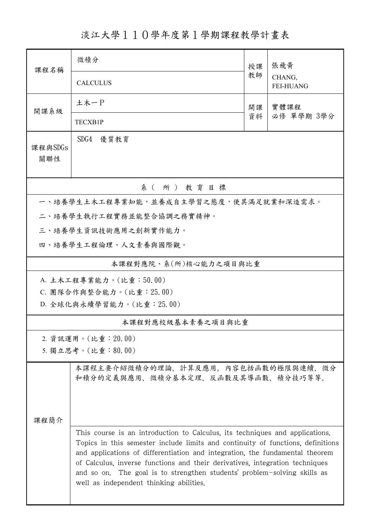淡江大學110學年度第1學期課程教學計畫表

| 課程名稱                                   | 微積分                                                                                                                                                                                                                                                                                                                                                                                                                                                    | 授課         | 張飛黃<br>CHANG,<br><b>FEI-HUANG</b> |  |  |  |  |
|----------------------------------------|--------------------------------------------------------------------------------------------------------------------------------------------------------------------------------------------------------------------------------------------------------------------------------------------------------------------------------------------------------------------------------------------------------------------------------------------------------|------------|-----------------------------------|--|--|--|--|
|                                        | <b>CALCULUS</b>                                                                                                                                                                                                                                                                                                                                                                                                                                        | 教師         |                                   |  |  |  |  |
| 開課系級                                   | 土木一P                                                                                                                                                                                                                                                                                                                                                                                                                                                   | 實體課程<br>開課 |                                   |  |  |  |  |
|                                        | TECXB1P                                                                                                                                                                                                                                                                                                                                                                                                                                                | 資料         | 必修 單學期 3學分                        |  |  |  |  |
| 課程與SDGs<br>關聯性                         | SDG4 優質教育                                                                                                                                                                                                                                                                                                                                                                                                                                              |            |                                   |  |  |  |  |
| 系(所)教育目標                               |                                                                                                                                                                                                                                                                                                                                                                                                                                                        |            |                                   |  |  |  |  |
| 一、培養學生土木工程專業知能,並養成自主學習之態度,使其滿足就業和深造需求。 |                                                                                                                                                                                                                                                                                                                                                                                                                                                        |            |                                   |  |  |  |  |
|                                        | 二、培養學生執行工程實務並能整合協調之務實精神。                                                                                                                                                                                                                                                                                                                                                                                                                               |            |                                   |  |  |  |  |
|                                        | 三、培養學生資訊技術應用之創新實作能力。                                                                                                                                                                                                                                                                                                                                                                                                                                   |            |                                   |  |  |  |  |
|                                        | 四、培養學生工程倫理、人文素養與國際觀。                                                                                                                                                                                                                                                                                                                                                                                                                                   |            |                                   |  |  |  |  |
| 本課程對應院、系(所)核心能力之項目與比重                  |                                                                                                                                                                                                                                                                                                                                                                                                                                                        |            |                                   |  |  |  |  |
| A. 土木工程專業能力。(比重:50.00)                 |                                                                                                                                                                                                                                                                                                                                                                                                                                                        |            |                                   |  |  |  |  |
| C. 團隊合作與整合能力。(比重: 25.00)               |                                                                                                                                                                                                                                                                                                                                                                                                                                                        |            |                                   |  |  |  |  |
| D. 全球化與永續學習能力。(比重: 25.00)              |                                                                                                                                                                                                                                                                                                                                                                                                                                                        |            |                                   |  |  |  |  |
| 本課程對應校級基本素養之項目與比重                      |                                                                                                                                                                                                                                                                                                                                                                                                                                                        |            |                                   |  |  |  |  |
|                                        | 2. 資訊運用。(比重: 20.00)                                                                                                                                                                                                                                                                                                                                                                                                                                    |            |                                   |  |  |  |  |
| 5. 獨立思考。(比重:80.00)                     |                                                                                                                                                                                                                                                                                                                                                                                                                                                        |            |                                   |  |  |  |  |
|                                        | 本課程主要介紹微積分的理論、計算及應用。內容包括函數的極限與連續、微分<br>和積分的定義與應用、微積分基本定理、反函數及其導函數、積分技巧等等。                                                                                                                                                                                                                                                                                                                                                                              |            |                                   |  |  |  |  |
| 课程简介                                   |                                                                                                                                                                                                                                                                                                                                                                                                                                                        |            |                                   |  |  |  |  |
|                                        | This course is an introduction to Calculus, its techniques and applications.<br>Topics in this semester include limits and continuity of functions, definitions<br>and applications of differentiation and integration, the fundamental theorem<br>of Calculus, inverse functions and their derivatives, integration techniques<br>and so on. The goal is to strengthen students' problem-solving skills as<br>well as independent thinking abilities. |            |                                   |  |  |  |  |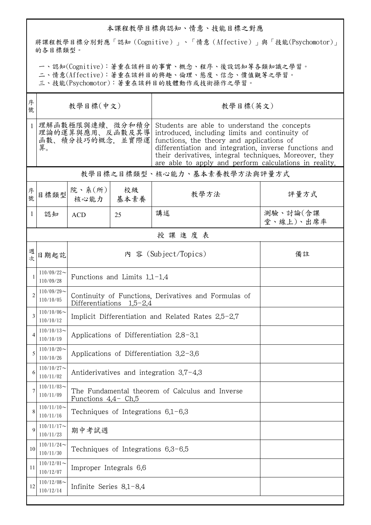## 本課程教學目標與認知、情意、技能目標之對應

將課程教學目標分別對應「認知(Cognitive)」、「情意(Affective)」與「技能(Psychomotor)」 的各目標類型。

一、認知(Cognitive):著重在該科目的事實、概念、程序、後設認知等各類知識之學習。

二、情意(Affective):著重在該科目的興趣、倫理、態度、信念、價值觀等之學習。

三、技能(Psychomotor):著重在該科目的肢體動作或技術操作之學習。

| 序<br>教學目標(中文)<br>號                                          |                                                                                    |    | 教學目標(英文)                                                                                                                                                                                                                                                                                                                  |                       |  |  |  |
|-------------------------------------------------------------|------------------------------------------------------------------------------------|----|---------------------------------------------------------------------------------------------------------------------------------------------------------------------------------------------------------------------------------------------------------------------------------------------------------------------------|-----------------------|--|--|--|
| 理解函數極限與連續、微分和積分<br>理論的運算與應用、反函數及其導<br>函數、積分技巧的概念、並實際運<br>算。 |                                                                                    |    | Students are able to understand the concepts<br>introduced, including limits and continuity of<br>functions, the theory and applications of<br>differentiation and integration, inverse functions and<br>their derivatives, integral techniques. Moreover, they<br>are able to apply and perform calculations in reality. |                       |  |  |  |
| 教學目標之目標類型、核心能力、基本素養教學方法與評量方式                                |                                                                                    |    |                                                                                                                                                                                                                                                                                                                           |                       |  |  |  |
| 目標類型                                                        |                                                                                    | 校級 | 教學方法                                                                                                                                                                                                                                                                                                                      | 評量方式                  |  |  |  |
| 認知                                                          | <b>ACD</b>                                                                         | 25 | 講述                                                                                                                                                                                                                                                                                                                        | 測驗、討論(含課<br>堂、線上)、出席率 |  |  |  |
| 授課進度表                                                       |                                                                                    |    |                                                                                                                                                                                                                                                                                                                           |                       |  |  |  |
| 日期起訖                                                        | 內 容 (Subject/Topics)<br>備註                                                         |    |                                                                                                                                                                                                                                                                                                                           |                       |  |  |  |
| $110/09/22$ ~<br>110/09/28                                  | Functions and Limits $1.1-1.4$                                                     |    |                                                                                                                                                                                                                                                                                                                           |                       |  |  |  |
| $110/09/29$ ~<br>110/10/05                                  | Continuity of Functions, Derivatives and Formulas of<br>Differentiations $1.5-2.4$ |    |                                                                                                                                                                                                                                                                                                                           |                       |  |  |  |
| $110/10/06 \sim$<br>110/10/12                               | Implicit Differentiation and Related Rates 2.5-2.7                                 |    |                                                                                                                                                                                                                                                                                                                           |                       |  |  |  |
| $110/10/13$ ~<br>110/10/19                                  | Applications of Differentiation $2.8-3.1$                                          |    |                                                                                                                                                                                                                                                                                                                           |                       |  |  |  |
| $110/10/20$ ~<br>110/10/26                                  | Applications of Differentiation $3.2-3.6$                                          |    |                                                                                                                                                                                                                                                                                                                           |                       |  |  |  |
| $110/10/27$ ~<br>110/11/02                                  | Antiderivatives and integration $3.7-4.3$                                          |    |                                                                                                                                                                                                                                                                                                                           |                       |  |  |  |
| $110/11/03$ ~<br>110/11/09                                  | The Fundamental theorem of Calculus and Inverse<br>Functions $4.4$ - Ch.5          |    |                                                                                                                                                                                                                                                                                                                           |                       |  |  |  |
| $110/11/10$ ~<br>110/11/16                                  | Techniques of Integrations 6.1-6.3                                                 |    |                                                                                                                                                                                                                                                                                                                           |                       |  |  |  |
| $110/11/17$ ~<br>110/11/23                                  | 期中考試週                                                                              |    |                                                                                                                                                                                                                                                                                                                           |                       |  |  |  |
| $110/11/24$ ~<br>110/11/30                                  | Techniques of Integrations $6,3-6,5$                                               |    |                                                                                                                                                                                                                                                                                                                           |                       |  |  |  |
| $110/12/01$ ~<br>110/12/07                                  | Improper Integrals 6.6                                                             |    |                                                                                                                                                                                                                                                                                                                           |                       |  |  |  |
| $110/12/08$ ~<br>110/12/14                                  | Infinite Series 8.1-8.4                                                            |    |                                                                                                                                                                                                                                                                                                                           |                       |  |  |  |
|                                                             |                                                                                    |    | 院、系 $(\text{m})$<br>核心能力   基本素養                                                                                                                                                                                                                                                                                           |                       |  |  |  |